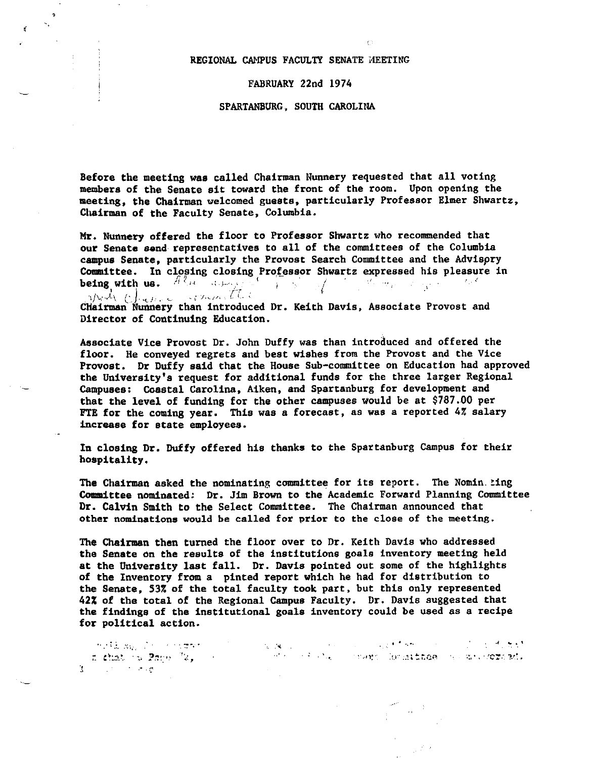## REGIONAL CAMPUS FACULTY SENATE MEETING

 $\mathbf{r}$ 

#### FABRUARY 22nd 1974

### SPARTANBURG, SOUTH CAROLINA

Before the meeting was called Chairman Nunnery requested that all voting members of the Senate sit toward the front of the room. Upon opening the meeting, the Chairman welcomed guests, particularly Professor Elmer Shwartz, Chairman of the Faculty Senate, Columbia.

Mr. Nunnery offered the floor to Professor Shwartz who recommended that our Senate send representatives to all of the committees of the Columbia campus Senate, particularly the Provost Search Committee and the Advisory Committee. In closing closing Professor Shwartz expressed his pleasure in being with us.  $A^{(l)}$ 

 $\mathcal{L}_{\mathcal{L}_{\mathcal{L}}(t)}$  Chairman Nunnery than introduced Dr. Keith Davis, Associate Provost and Director of Continuing Education.

Associate Vice Provost Dr. John Duffy was than introduced and offered the floor. He conveyed regrets and best wishes from the Provost and the Vice Provost. Dr Duffy said that the House Sub-committee on Education had approved the University's request for additional funds for the three larger Regional Campuses: Coastal Carolina, Aiken, and Spartanburg for development and that the level of funding for the other campuses would be at \$787.00 per FTE for the coming year. This was a forecast, as was a reported 4% salary increase for state employees.

In closing Dr. Duffy offered his thanks to the Spartanburg Campus for their hospitality.

The Chairman asked the nominating committee for its report. The Nomin Ling Committee nominated: Dr. Jim Brown to the Academic Forward Planning Committee Dr. Calvin Smith to the Select Committee. The Chairman announced that other nominations would be called for prior to the close of the meeting.

The Chairman then turned the floor over to Dr. Keith Davis who addressed the Senate on the results of the institutions goals inventory meeting held at the University last fall. Dr. Davis pointed out some of the highlights of the Inventory from a pinted report which he had for distribution to the Senate, 53% of the total faculty took part, but this only represented 42% of the total of the Regional Campus Faculty. Dr. Davis suggested that the findings of the institutional goals inventory could be used as a recipe for political action.

i nell san Siri ricoretti. Il si sono sono sono sono in controli solo in controli solo si solo di territori di<br>Il challo ta Paque "2, "Il si solo solo si solo si solo solo stempo derattitae in caracteristica di s  $\mathcal{L}^{\text{max}}_{\text{max}}$  and  $\mathcal{L}^{\text{max}}_{\text{max}}$  $\Lambda$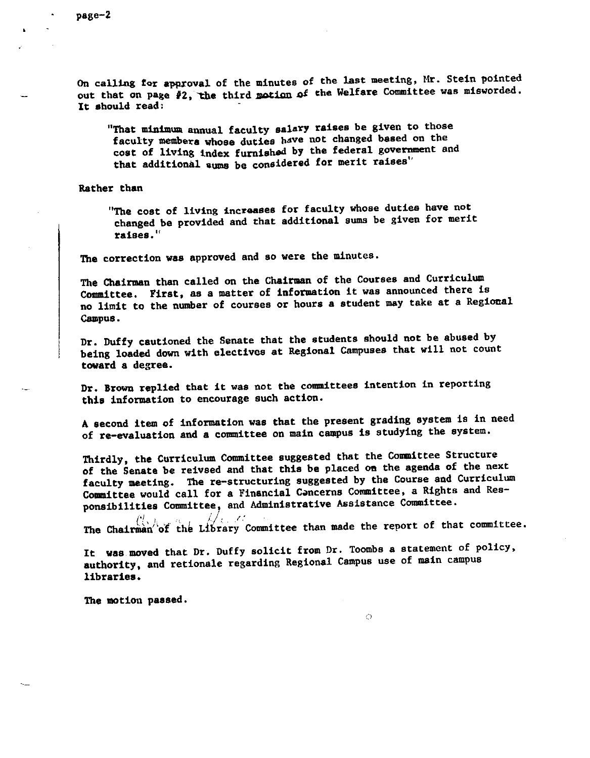On calling for approval of the minutes of the last meeting, Mr. Stein pointed out that on page #2, the third motion of the Welfare Committee was misworded. It should read:

"That minimum annual faculty salary raises be given to those faculty members whose duties have not changed based on the cost of living index furnished by the federal government and that additional sums be considered for merit raises"

Rather than

"The cost of living increases for faculty whose duties have not changed be provided and that additional sums be given for merit **raises."** 

The correction was approved and so were the minutes.

The Chairman than called on the Chairman of the Courses and Curriculum Committee. First, as a matter of information it was announced there is no limit to the number of courses or hours a student may take at a Regional campus.

Dr. Duffy cautioned the Senate that the students should not be abused by being loaded down with electives at Regional Campuses that will not count **toward a** degree.

Dr. Brown replied that it was not the committees intention in reporting this information to encourage such action.

A second item of information was that the present grading system is in need of re-evaluation and a committee on main campus is studying the system.

Thirdly, the Curriculum Committee suggested that the Comittee Structure of the Senate be reivsed and that this be placed on the agenda of the next faculty meeting. The re-structuring suggested by the Course and Curriculum Committee would call for a Financial Concerns Committee, a Rights and Responsibilities Committee, and Administrative Assistance Committee.

ties Committee, and *a*<br>() here it is a remain  $c$ . The Chairman of the Library Committee than made the report of that committee.

It was moved that Dr. Duffy solicit from Dr. Toombs a statement of policy, authority, and retionsle regarding Regional Campus use of main campus libraries.

 $\bigcap$ 

The motion passed.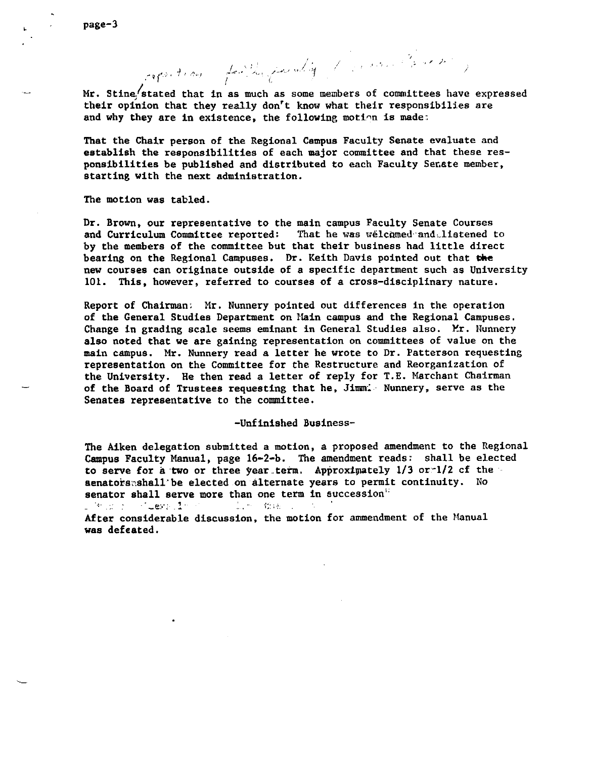Mr. Stine stated that in as much as some members of committees have expressed their opinion that they really don't know what their responsibilies are and why they are in existence, the following motion is made:

and it is a faithful for why the same of part to

That the Chair person of the Regional Campus Faculty Senate evaluate and establish the responsibilities of each major committee and that these responsibilities be published and distributed to each Faculty Senate member, starting with the next administration.

The motion was tabled.

Dr. Brown, our representative to the main campus Faculty Senate Courses and Curriculum Committee reported: That he was welcomed and listened to by the members of the committee but that their business had little direct bearing on the Regional Campuses. Dr. Keith Davis pointed out that **die**  new courses can originate outside of a specific department such as University 101. This, however, referred to courses of a cross-disciplinary nature.

Report of Chairman: Mr. Nunnery pointed out differences in the operation of the General Studies Department on Main campus and the Regional Campuses. Change in grading scale seems eminant in General Studies also. Mr. Nunnery also noted that we are gaining representation on committees of value on the main campus. Mr. Nunnery read a letter he wrote to Dr. Patterson requesting representation on the Committee for the Restructure and Reorganization of the University. He then read a letter of reply for T.E. Marchant Chairman of the Board of Trustees requesting that he, Jimmi Nunnery, serve as the Senates representative to the committee.

# -Unfinished Business-

The Aiken delegation submitted a motion, a proposed amendment to the Regional Campus Faculty Manual, page 16-2-b. The amendment reads: shall be elected to serve for a two or three year term. Approximately  $1/3$  or  $1/2$  cf the aenatorsnshall'be elected on alternate years to permit continuity. No senator shall serve more than one term in succession"

 $\Box$  . An internal  $\Box$  . The second second second second second second second second second second second second second second second second second second second second second second second second second second second se ..,. '•· :-.-.

After considerable discussion, the motion for ammendment of the Manual was defeated.